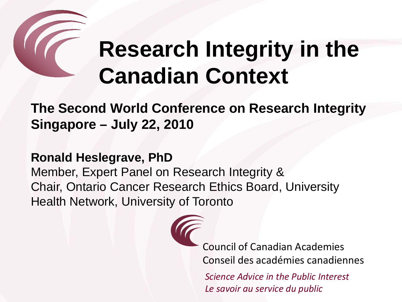# **Research Integrity in the Canadian Context**

**The Second World Conference on Research Integrity Singapore – July 22, 2010**

**Ronald Heslegrave, PhD** 

Member, Expert Panel on Research Integrity & Chair, Ontario Cancer Research Ethics Board, University Health Network, University of Toronto

Council of Canadian Academies Conseil des académies canadiennes

*Science Advice in the Public Interest Le savoir au service du public*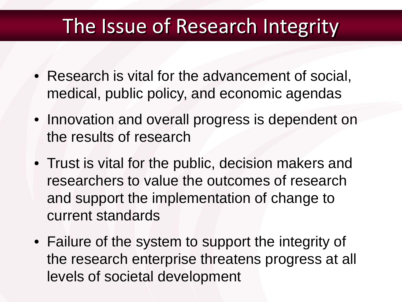#### The Issue of Research Integrity

- Research is vital for the advancement of social, medical, public policy, and economic agendas
- Innovation and overall progress is dependent on the results of research
- Trust is vital for the public, decision makers and researchers to value the outcomes of research and support the implementation of change to current standards
- Failure of the system to support the integrity of the research enterprise threatens progress at all levels of societal development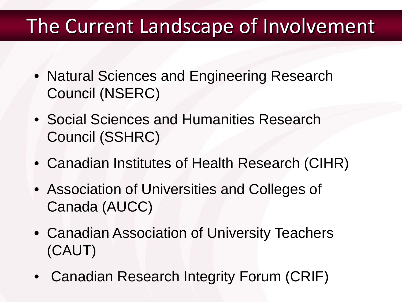#### The Current Landscape of Involvement

- Natural Sciences and Engineering Research Council (NSERC)
- Social Sciences and Humanities Research Council (SSHRC)
- Canadian Institutes of Health Research (CIHR)
- Association of Universities and Colleges of Canada (AUCC)
- Canadian Association of University Teachers (CAUT)
- Canadian Research Integrity Forum (CRIF)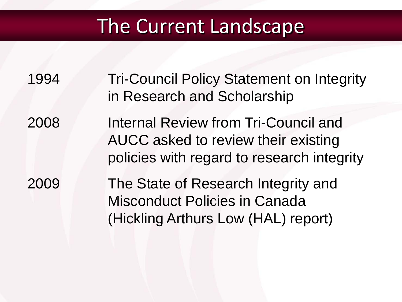#### The Current Landscape

- 1994 Tri-Council Policy Statement on Integrity in Research and Scholarship
- 2008 Internal Review from Tri-Council and AUCC asked to review their existing policies with regard to research integrity

2009 The State of Research Integrity and Misconduct Policies in Canada (Hickling Arthurs Low (HAL) report)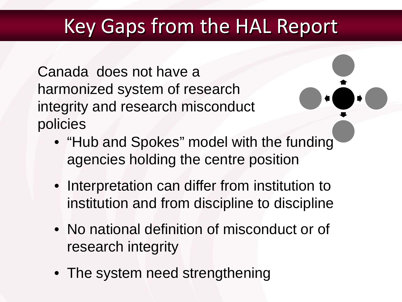## Key Gaps from the HAL Report

Canada does not have a harmonized system of research integrity and research misconduct policies

- "Hub and Spokes" model with the funding agencies holding the centre position
- Interpretation can differ from institution to institution and from discipline to discipline
- No national definition of misconduct or of research integrity
- The system need strengthening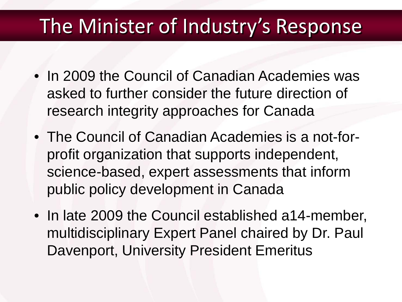#### The Minister of Industry's Response

- In 2009 the Council of Canadian Academies was asked to further consider the future direction of research integrity approaches for Canada
- The Council of Canadian Academies is a not-forprofit organization that supports independent, science-based, expert assessments that inform public policy development in Canada
- In late 2009 the Council established a14-member, multidisciplinary Expert Panel chaired by Dr. Paul Davenport, University President Emeritus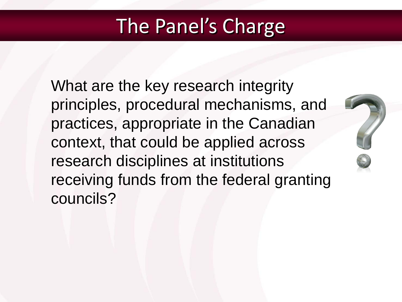## The Panel's Charge

What are the key research integrity principles, procedural mechanisms, and practices, appropriate in the Canadian context, that could be applied across research disciplines at institutions receiving funds from the federal granting councils?

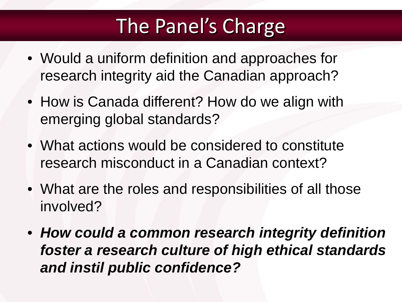# The Panel's Charge

- Would a uniform definition and approaches for research integrity aid the Canadian approach?
- How is Canada different? How do we align with emerging global standards?
- What actions would be considered to constitute research misconduct in a Canadian context?
- What are the roles and responsibilities of all those involved?
- *How could a common research integrity definition foster a research culture of high ethical standards and instil public confidence?*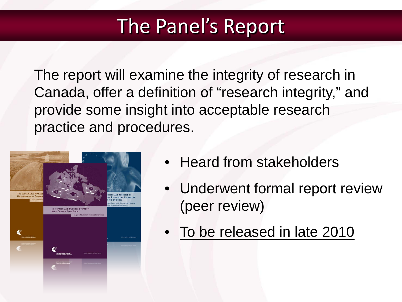#### The Panel's Report

The report will examine the integrity of research in Canada, offer a definition of "research integrity," and provide some insight into acceptable research practice and procedures.



- Heard from stakeholders
- Underwent formal report review (peer review)
- To be released in late 2010